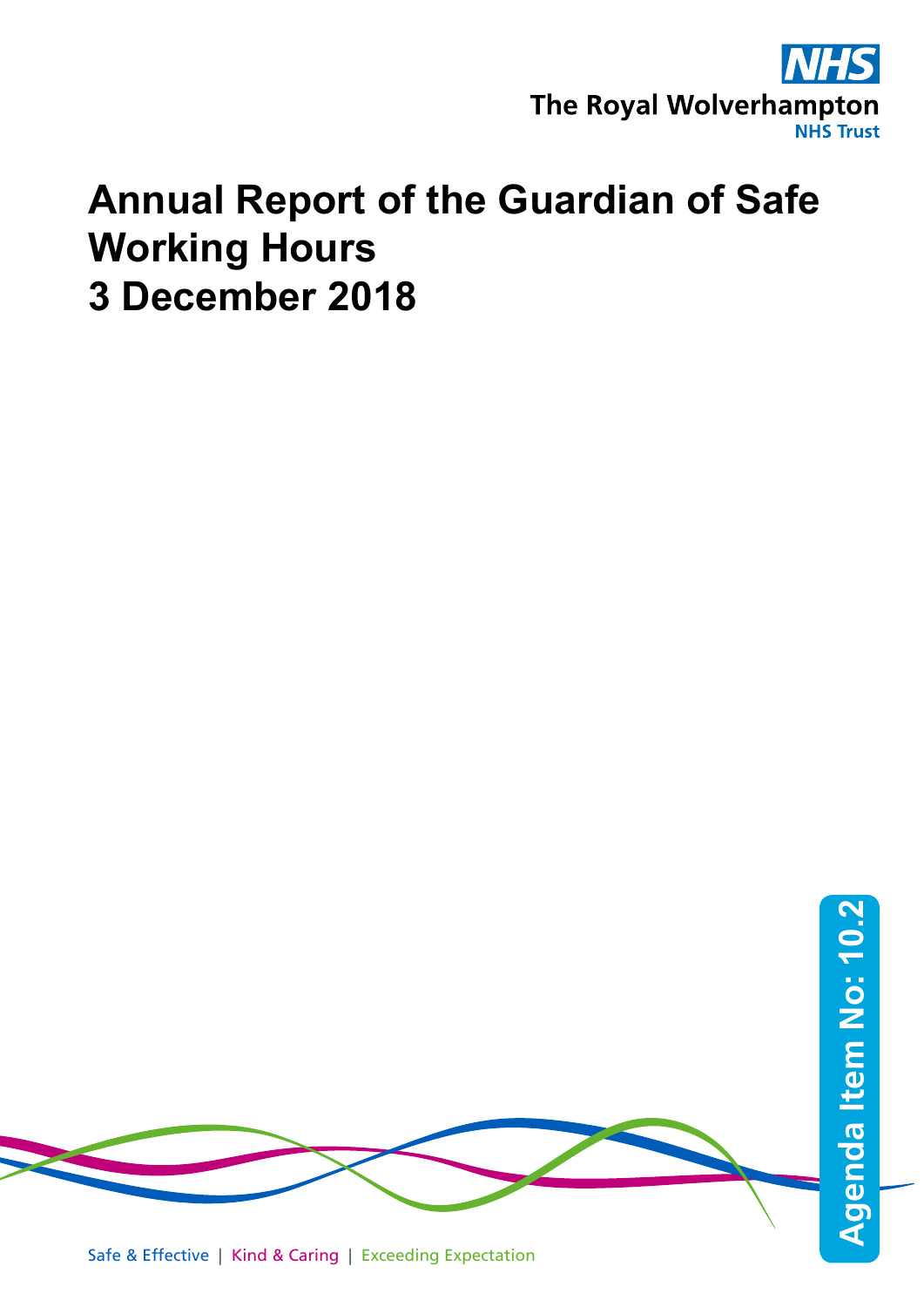

# **Annual Report of the Guardian of Safe Working Hours 3 December 2018**

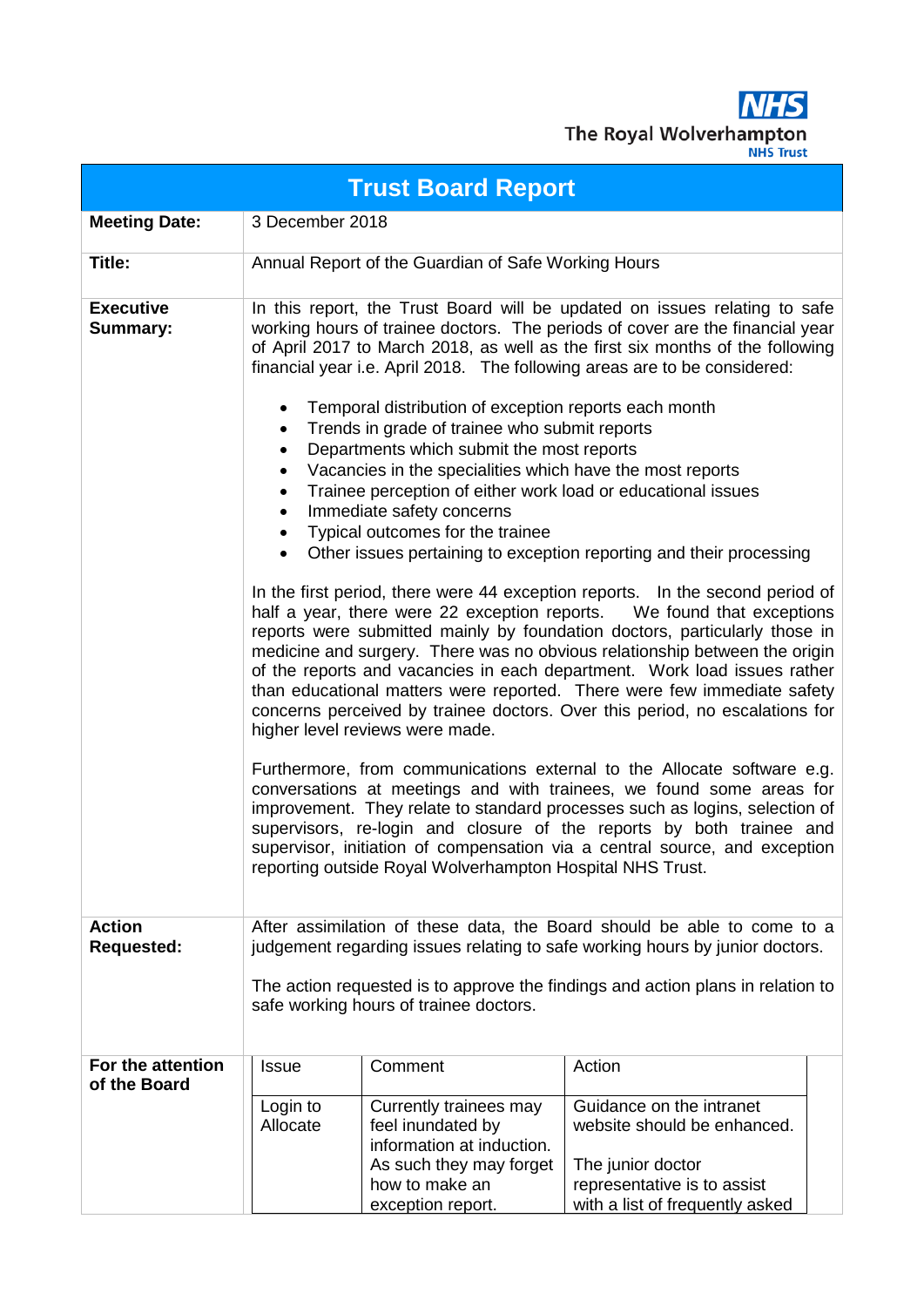**NHS** The Royal Wolverhampton

| <b>Trust Board Report</b>          |                                                                                                                                                                                                                                                                                      |                                                                                                                                                                                                                                                                                                                                                                                                                                                   |                                                                                                                                                                                                                                                                                                                                                                                                                                                                                                                                                                                                                                                                                                                                                                                                                                                                                                                                                                                                                                                                                                                                                                                                                                                                                                                                                        |  |  |  |
|------------------------------------|--------------------------------------------------------------------------------------------------------------------------------------------------------------------------------------------------------------------------------------------------------------------------------------|---------------------------------------------------------------------------------------------------------------------------------------------------------------------------------------------------------------------------------------------------------------------------------------------------------------------------------------------------------------------------------------------------------------------------------------------------|--------------------------------------------------------------------------------------------------------------------------------------------------------------------------------------------------------------------------------------------------------------------------------------------------------------------------------------------------------------------------------------------------------------------------------------------------------------------------------------------------------------------------------------------------------------------------------------------------------------------------------------------------------------------------------------------------------------------------------------------------------------------------------------------------------------------------------------------------------------------------------------------------------------------------------------------------------------------------------------------------------------------------------------------------------------------------------------------------------------------------------------------------------------------------------------------------------------------------------------------------------------------------------------------------------------------------------------------------------|--|--|--|
| <b>Meeting Date:</b>               |                                                                                                                                                                                                                                                                                      | 3 December 2018                                                                                                                                                                                                                                                                                                                                                                                                                                   |                                                                                                                                                                                                                                                                                                                                                                                                                                                                                                                                                                                                                                                                                                                                                                                                                                                                                                                                                                                                                                                                                                                                                                                                                                                                                                                                                        |  |  |  |
| Title:                             |                                                                                                                                                                                                                                                                                      | Annual Report of the Guardian of Safe Working Hours                                                                                                                                                                                                                                                                                                                                                                                               |                                                                                                                                                                                                                                                                                                                                                                                                                                                                                                                                                                                                                                                                                                                                                                                                                                                                                                                                                                                                                                                                                                                                                                                                                                                                                                                                                        |  |  |  |
| <b>Executive</b><br>Summary:       | $\bullet$<br>٠<br>٠<br>$\bullet$<br>$\bullet$<br>$\bullet$<br>$\bullet$                                                                                                                                                                                                              | Temporal distribution of exception reports each month<br>Trends in grade of trainee who submit reports<br>Departments which submit the most reports<br>Vacancies in the specialities which have the most reports<br>Trainee perception of either work load or educational issues<br>Immediate safety concerns<br>Typical outcomes for the trainee<br>higher level reviews were made.<br>reporting outside Royal Wolverhampton Hospital NHS Trust. | In this report, the Trust Board will be updated on issues relating to safe<br>working hours of trainee doctors. The periods of cover are the financial year<br>of April 2017 to March 2018, as well as the first six months of the following<br>financial year i.e. April 2018. The following areas are to be considered:<br>Other issues pertaining to exception reporting and their processing<br>In the first period, there were 44 exception reports. In the second period of<br>half a year, there were 22 exception reports.  We found that exceptions<br>reports were submitted mainly by foundation doctors, particularly those in<br>medicine and surgery. There was no obvious relationship between the origin<br>of the reports and vacancies in each department. Work load issues rather<br>than educational matters were reported. There were few immediate safety<br>concerns perceived by trainee doctors. Over this period, no escalations for<br>Furthermore, from communications external to the Allocate software e.g.<br>conversations at meetings and with trainees, we found some areas for<br>improvement. They relate to standard processes such as logins, selection of<br>supervisors, re-login and closure of the reports by both trainee and<br>supervisor, initiation of compensation via a central source, and exception |  |  |  |
| <b>Action</b><br><b>Requested:</b> | After assimilation of these data, the Board should be able to come to a<br>judgement regarding issues relating to safe working hours by junior doctors.<br>The action requested is to approve the findings and action plans in relation to<br>safe working hours of trainee doctors. |                                                                                                                                                                                                                                                                                                                                                                                                                                                   |                                                                                                                                                                                                                                                                                                                                                                                                                                                                                                                                                                                                                                                                                                                                                                                                                                                                                                                                                                                                                                                                                                                                                                                                                                                                                                                                                        |  |  |  |
| For the attention<br>of the Board  | <b>Issue</b>                                                                                                                                                                                                                                                                         | Comment                                                                                                                                                                                                                                                                                                                                                                                                                                           | Action                                                                                                                                                                                                                                                                                                                                                                                                                                                                                                                                                                                                                                                                                                                                                                                                                                                                                                                                                                                                                                                                                                                                                                                                                                                                                                                                                 |  |  |  |
|                                    | Login to<br>Allocate                                                                                                                                                                                                                                                                 | Currently trainees may<br>feel inundated by<br>information at induction.<br>As such they may forget<br>how to make an<br>exception report.                                                                                                                                                                                                                                                                                                        | Guidance on the intranet<br>website should be enhanced.<br>The junior doctor<br>representative is to assist<br>with a list of frequently asked                                                                                                                                                                                                                                                                                                                                                                                                                                                                                                                                                                                                                                                                                                                                                                                                                                                                                                                                                                                                                                                                                                                                                                                                         |  |  |  |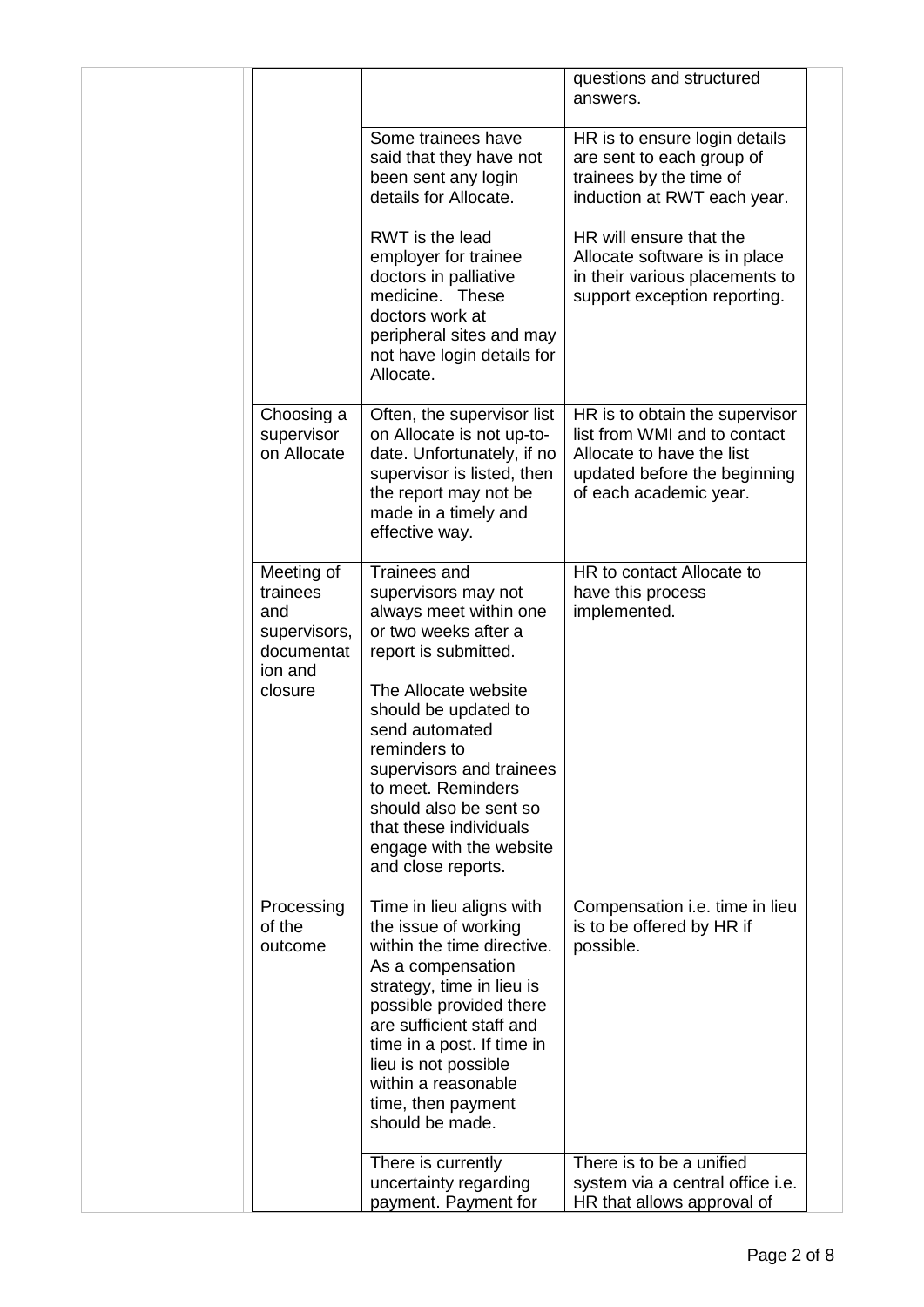|                                                                                   |                                                                                                                                                                                                                                                                                                                                                        | questions and structured<br>answers.                                                                                                                  |  |
|-----------------------------------------------------------------------------------|--------------------------------------------------------------------------------------------------------------------------------------------------------------------------------------------------------------------------------------------------------------------------------------------------------------------------------------------------------|-------------------------------------------------------------------------------------------------------------------------------------------------------|--|
|                                                                                   | Some trainees have<br>said that they have not<br>been sent any login<br>details for Allocate.                                                                                                                                                                                                                                                          | HR is to ensure login details<br>are sent to each group of<br>trainees by the time of<br>induction at RWT each year.                                  |  |
|                                                                                   | RWT is the lead<br>employer for trainee<br>doctors in palliative<br>medicine. These<br>doctors work at<br>peripheral sites and may<br>not have login details for<br>Allocate.                                                                                                                                                                          | HR will ensure that the<br>Allocate software is in place<br>in their various placements to<br>support exception reporting.                            |  |
| Choosing a<br>supervisor<br>on Allocate                                           | Often, the supervisor list<br>on Allocate is not up-to-<br>date. Unfortunately, if no<br>supervisor is listed, then<br>the report may not be<br>made in a timely and<br>effective way.                                                                                                                                                                 | HR is to obtain the supervisor<br>list from WMI and to contact<br>Allocate to have the list<br>updated before the beginning<br>of each academic year. |  |
| Meeting of<br>trainees<br>and<br>supervisors,<br>documentat<br>ion and<br>closure | Trainees and<br>supervisors may not<br>always meet within one<br>or two weeks after a<br>report is submitted.<br>The Allocate website<br>should be updated to<br>send automated<br>reminders to<br>supervisors and trainees<br>to meet. Reminders<br>should also be sent so<br>that these individuals<br>engage with the website<br>and close reports. | HR to contact Allocate to<br>have this process<br>implemented.                                                                                        |  |
| Processing<br>of the<br>outcome                                                   | Time in lieu aligns with<br>the issue of working<br>within the time directive.<br>As a compensation<br>strategy, time in lieu is<br>possible provided there<br>are sufficient staff and<br>time in a post. If time in<br>lieu is not possible<br>within a reasonable<br>time, then payment<br>should be made.                                          | Compensation <i>i.e.</i> time in lieu<br>is to be offered by HR if<br>possible.                                                                       |  |
|                                                                                   | There is currently<br>uncertainty regarding<br>payment. Payment for                                                                                                                                                                                                                                                                                    | There is to be a unified<br>system via a central office i.e.<br>HR that allows approval of                                                            |  |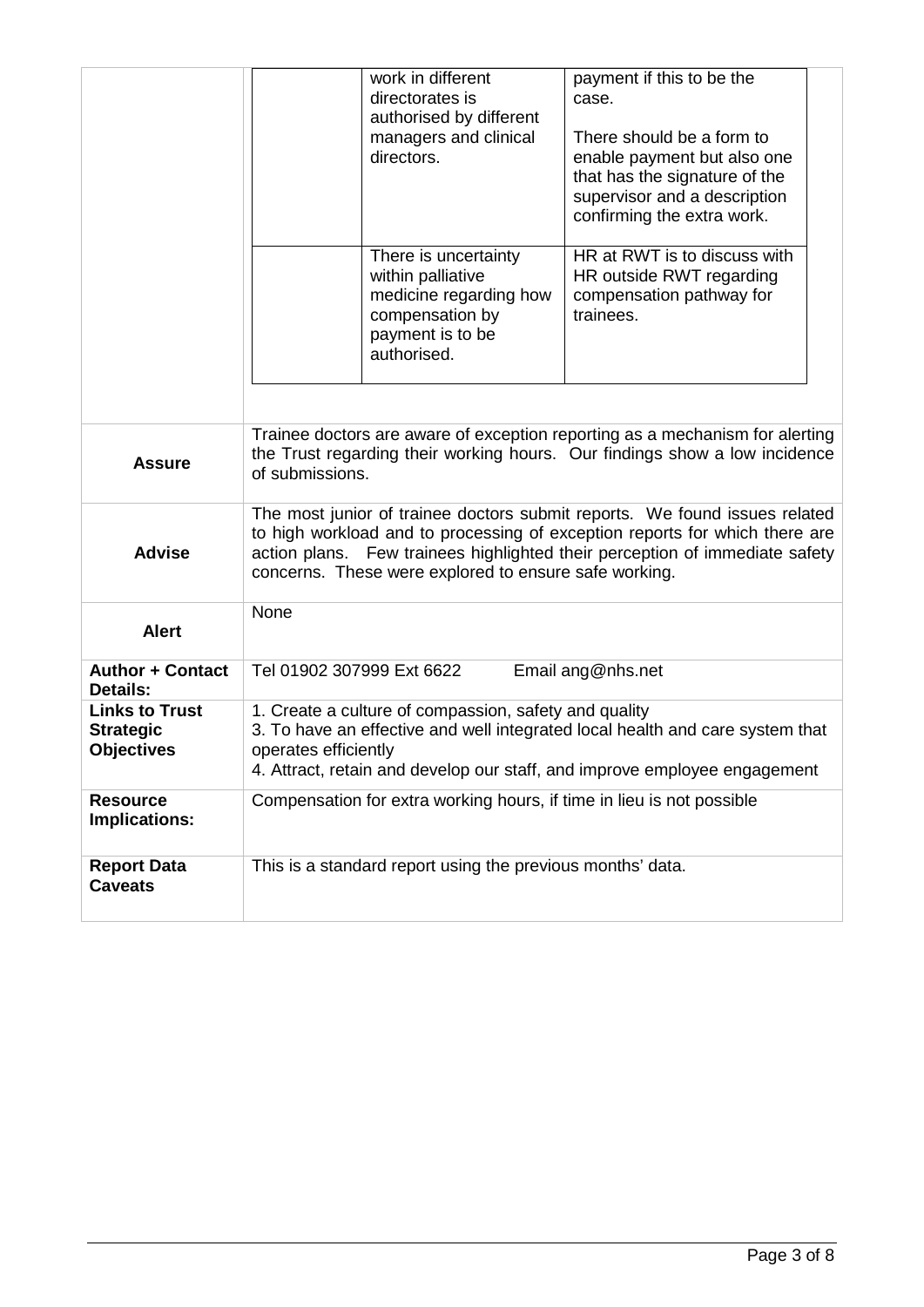|                                                                |                                                                                                                                                                                                                                                                                                   | work in different<br>directorates is<br>authorised by different<br>managers and clinical<br>directors.<br>There is uncertainty<br>within palliative | payment if this to be the<br>case.<br>There should be a form to<br>enable payment but also one<br>that has the signature of the<br>supervisor and a description<br>confirming the extra work.<br>HR at RWT is to discuss with<br>HR outside RWT regarding |  |
|----------------------------------------------------------------|---------------------------------------------------------------------------------------------------------------------------------------------------------------------------------------------------------------------------------------------------------------------------------------------------|-----------------------------------------------------------------------------------------------------------------------------------------------------|-----------------------------------------------------------------------------------------------------------------------------------------------------------------------------------------------------------------------------------------------------------|--|
|                                                                |                                                                                                                                                                                                                                                                                                   | medicine regarding how<br>compensation by<br>payment is to be<br>authorised.                                                                        | compensation pathway for<br>trainees.                                                                                                                                                                                                                     |  |
| <b>Assure</b>                                                  | Trainee doctors are aware of exception reporting as a mechanism for alerting<br>the Trust regarding their working hours. Our findings show a low incidence<br>of submissions.                                                                                                                     |                                                                                                                                                     |                                                                                                                                                                                                                                                           |  |
| <b>Advise</b>                                                  | The most junior of trainee doctors submit reports. We found issues related<br>to high workload and to processing of exception reports for which there are<br>action plans. Few trainees highlighted their perception of immediate safety<br>concerns. These were explored to ensure safe working. |                                                                                                                                                     |                                                                                                                                                                                                                                                           |  |
| <b>Alert</b>                                                   | None                                                                                                                                                                                                                                                                                              |                                                                                                                                                     |                                                                                                                                                                                                                                                           |  |
| <b>Author + Contact</b><br>Details:                            | Tel 01902 307999 Ext 6622                                                                                                                                                                                                                                                                         |                                                                                                                                                     | Email ang@nhs.net                                                                                                                                                                                                                                         |  |
| <b>Links to Trust</b><br><b>Strategic</b><br><b>Objectives</b> | 1. Create a culture of compassion, safety and quality<br>3. To have an effective and well integrated local health and care system that<br>operates efficiently<br>4. Attract, retain and develop our staff, and improve employee engagement                                                       |                                                                                                                                                     |                                                                                                                                                                                                                                                           |  |
| <b>Resource</b><br>Implications:                               |                                                                                                                                                                                                                                                                                                   | Compensation for extra working hours, if time in lieu is not possible                                                                               |                                                                                                                                                                                                                                                           |  |
| <b>Report Data</b><br><b>Caveats</b>                           |                                                                                                                                                                                                                                                                                                   | This is a standard report using the previous months' data.                                                                                          |                                                                                                                                                                                                                                                           |  |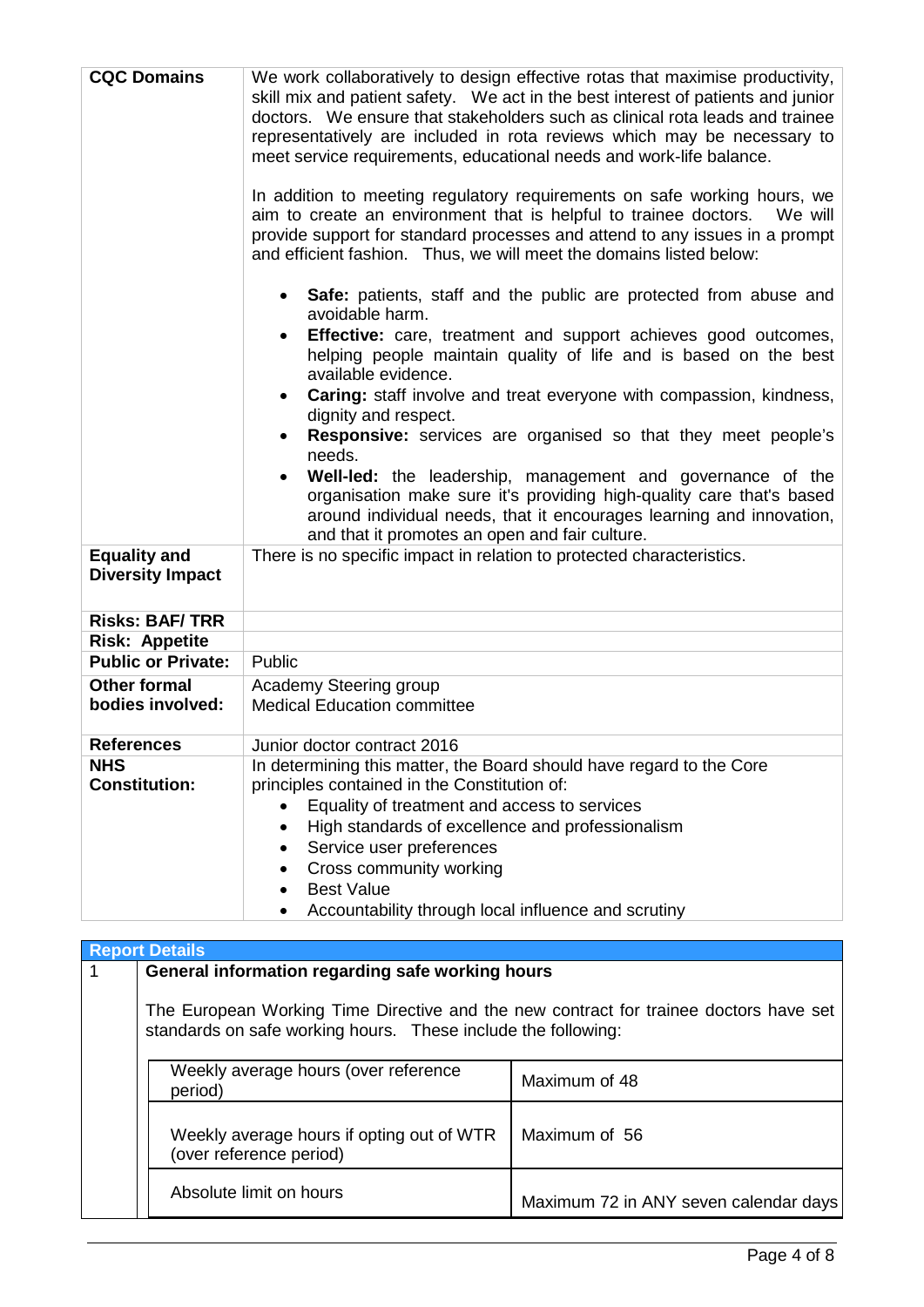| <b>CQC Domains</b>                                                      | We work collaboratively to design effective rotas that maximise productivity,<br>skill mix and patient safety. We act in the best interest of patients and junior<br>doctors. We ensure that stakeholders such as clinical rota leads and trainee<br>representatively are included in rota reviews which may be necessary to<br>meet service requirements, educational needs and work-life balance.<br>In addition to meeting regulatory requirements on safe working hours, we<br>aim to create an environment that is helpful to trainee doctors.<br>We will<br>provide support for standard processes and attend to any issues in a prompt<br>and efficient fashion. Thus, we will meet the domains listed below:<br>• Safe: patients, staff and the public are protected from abuse and<br>avoidable harm.<br><b>Effective:</b> care, treatment and support achieves good outcomes,<br>helping people maintain quality of life and is based on the best<br>available evidence.<br><b>Caring:</b> staff involve and treat everyone with compassion, kindness,<br>dignity and respect.<br><b>Responsive:</b> services are organised so that they meet people's<br>needs.<br>Well-led: the leadership, management and governance of the<br>organisation make sure it's providing high-quality care that's based<br>around individual needs, that it encourages learning and innovation,<br>and that it promotes an open and fair culture. |
|-------------------------------------------------------------------------|--------------------------------------------------------------------------------------------------------------------------------------------------------------------------------------------------------------------------------------------------------------------------------------------------------------------------------------------------------------------------------------------------------------------------------------------------------------------------------------------------------------------------------------------------------------------------------------------------------------------------------------------------------------------------------------------------------------------------------------------------------------------------------------------------------------------------------------------------------------------------------------------------------------------------------------------------------------------------------------------------------------------------------------------------------------------------------------------------------------------------------------------------------------------------------------------------------------------------------------------------------------------------------------------------------------------------------------------------------------------------------------------------------------------------------------------|
| <b>Equality and</b><br><b>Diversity Impact</b><br><b>Risks: BAF/TRR</b> | There is no specific impact in relation to protected characteristics.                                                                                                                                                                                                                                                                                                                                                                                                                                                                                                                                                                                                                                                                                                                                                                                                                                                                                                                                                                                                                                                                                                                                                                                                                                                                                                                                                                      |
| <b>Risk: Appetite</b>                                                   |                                                                                                                                                                                                                                                                                                                                                                                                                                                                                                                                                                                                                                                                                                                                                                                                                                                                                                                                                                                                                                                                                                                                                                                                                                                                                                                                                                                                                                            |
| <b>Public or Private:</b>                                               | Public                                                                                                                                                                                                                                                                                                                                                                                                                                                                                                                                                                                                                                                                                                                                                                                                                                                                                                                                                                                                                                                                                                                                                                                                                                                                                                                                                                                                                                     |
| <b>Other formal</b>                                                     | Academy Steering group                                                                                                                                                                                                                                                                                                                                                                                                                                                                                                                                                                                                                                                                                                                                                                                                                                                                                                                                                                                                                                                                                                                                                                                                                                                                                                                                                                                                                     |
| bodies involved:                                                        | <b>Medical Education committee</b>                                                                                                                                                                                                                                                                                                                                                                                                                                                                                                                                                                                                                                                                                                                                                                                                                                                                                                                                                                                                                                                                                                                                                                                                                                                                                                                                                                                                         |
| <b>References</b>                                                       | Junior doctor contract 2016                                                                                                                                                                                                                                                                                                                                                                                                                                                                                                                                                                                                                                                                                                                                                                                                                                                                                                                                                                                                                                                                                                                                                                                                                                                                                                                                                                                                                |
| <b>NHS</b><br><b>Constitution:</b>                                      | In determining this matter, the Board should have regard to the Core<br>principles contained in the Constitution of:<br>Equality of treatment and access to services<br>High standards of excellence and professionalism<br>Service user preferences<br>Cross community working<br><b>Best Value</b><br>Accountability through local influence and scrutiny                                                                                                                                                                                                                                                                                                                                                                                                                                                                                                                                                                                                                                                                                                                                                                                                                                                                                                                                                                                                                                                                                |

| <b>Report Details</b>                                                                                                                                  |                                       |  |  |  |
|--------------------------------------------------------------------------------------------------------------------------------------------------------|---------------------------------------|--|--|--|
| General information regarding safe working hours                                                                                                       |                                       |  |  |  |
| The European Working Time Directive and the new contract for trainee doctors have set<br>standards on safe working hours. These include the following: |                                       |  |  |  |
| Weekly average hours (over reference<br>period)                                                                                                        | Maximum of 48                         |  |  |  |
| Weekly average hours if opting out of WTR<br>(over reference period)                                                                                   | Maximum of 56                         |  |  |  |
| Absolute limit on hours                                                                                                                                | Maximum 72 in ANY seven calendar days |  |  |  |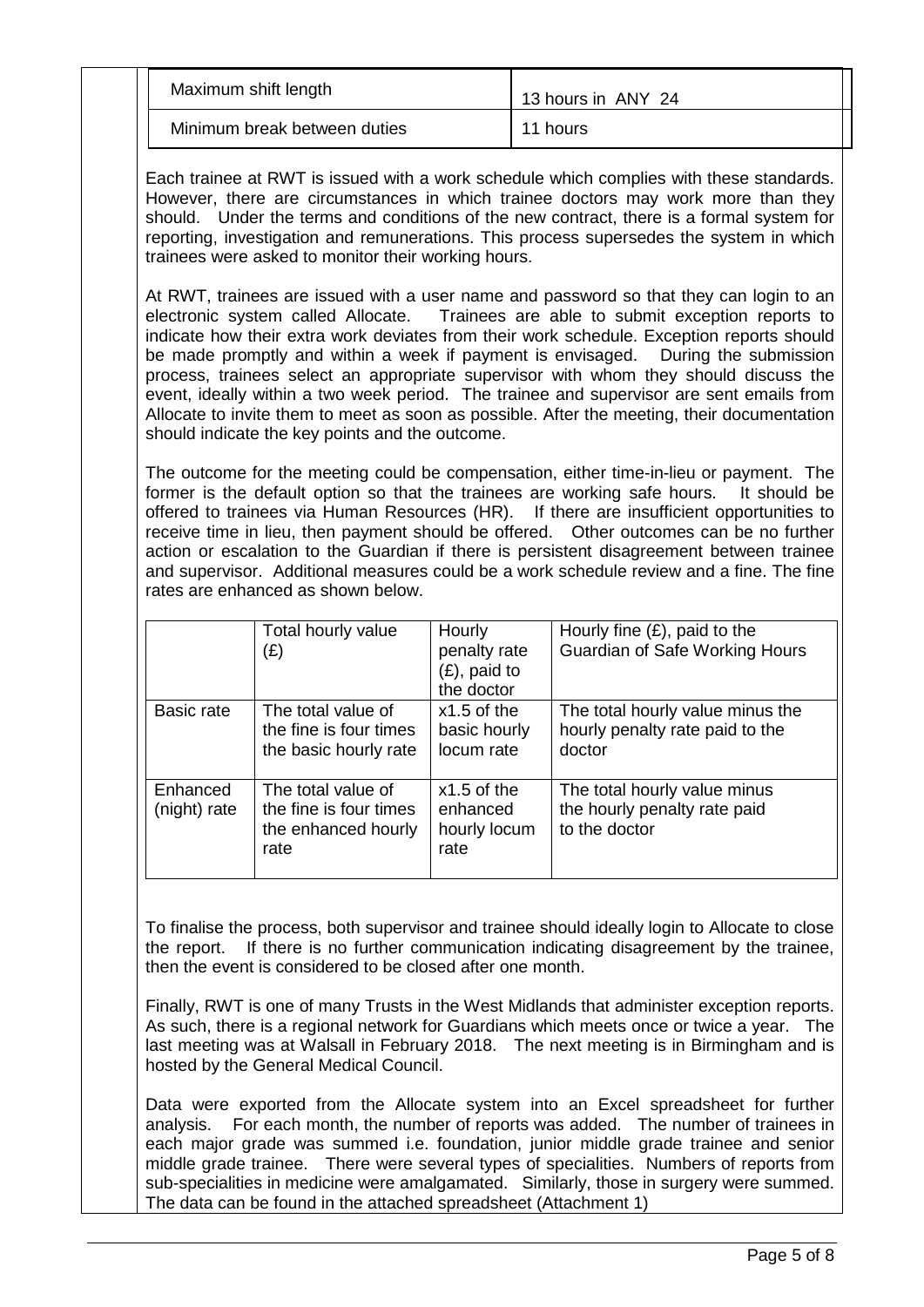| Maximum shift length         | 13 hours in ANY 24 |  |  |
|------------------------------|--------------------|--|--|
| Minimum break between duties | 11 hours           |  |  |

Each trainee at RWT is issued with a work schedule which complies with these standards. However, there are circumstances in which trainee doctors may work more than they should. Under the terms and conditions of the new contract, there is a formal system for reporting, investigation and remunerations. This process supersedes the system in which trainees were asked to monitor their working hours.

At RWT, trainees are issued with a user name and password so that they can login to an electronic system called Allocate. Trainees are able to submit exception reports to Trainees are able to submit exception reports to indicate how their extra work deviates from their work schedule. Exception reports should be made promptly and within a week if payment is envisaged. During the submission process, trainees select an appropriate supervisor with whom they should discuss the event, ideally within a two week period. The trainee and supervisor are sent emails from Allocate to invite them to meet as soon as possible. After the meeting, their documentation should indicate the key points and the outcome.

The outcome for the meeting could be compensation, either time-in-lieu or payment. The former is the default option so that the trainees are working safe hours. It should be former is the default option so that the trainees are working safe hours. offered to trainees via Human Resources (HR). If there are insufficient opportunities to receive time in lieu, then payment should be offered. Other outcomes can be no further action or escalation to the Guardian if there is persistent disagreement between trainee and supervisor. Additional measures could be a work schedule review and a fine. The fine rates are enhanced as shown below.

|                          | Total hourly value<br>(£)                                                   | Hourly<br>penalty rate<br>$(E)$ , paid to<br>the doctor | Hourly fine $(E)$ , paid to the<br><b>Guardian of Safe Working Hours</b>      |
|--------------------------|-----------------------------------------------------------------------------|---------------------------------------------------------|-------------------------------------------------------------------------------|
| Basic rate               | The total value of<br>the fine is four times<br>the basic hourly rate       | $x1.5$ of the<br>basic hourly<br>locum rate             | The total hourly value minus the<br>hourly penalty rate paid to the<br>doctor |
| Enhanced<br>(night) rate | The total value of<br>the fine is four times<br>the enhanced hourly<br>rate | $x1.5$ of the<br>enhanced<br>hourly locum<br>rate       | The total hourly value minus<br>the hourly penalty rate paid<br>to the doctor |

To finalise the process, both supervisor and trainee should ideally login to Allocate to close the report. If there is no further communication indicating disagreement by the trainee, then the event is considered to be closed after one month.

Finally, RWT is one of many Trusts in the West Midlands that administer exception reports. As such, there is a regional network for Guardians which meets once or twice a year. The last meeting was at Walsall in February 2018. The next meeting is in Birmingham and is hosted by the General Medical Council.

Data were exported from the Allocate system into an Excel spreadsheet for further analysis. For each month, the number of reports was added. The number of trainees in each major grade was summed i.e. foundation, junior middle grade trainee and senior middle grade trainee. There were several types of specialities. Numbers of reports from sub-specialities in medicine were amalgamated. Similarly, those in surgery were summed. The data can be found in the attached spreadsheet (Attachment 1)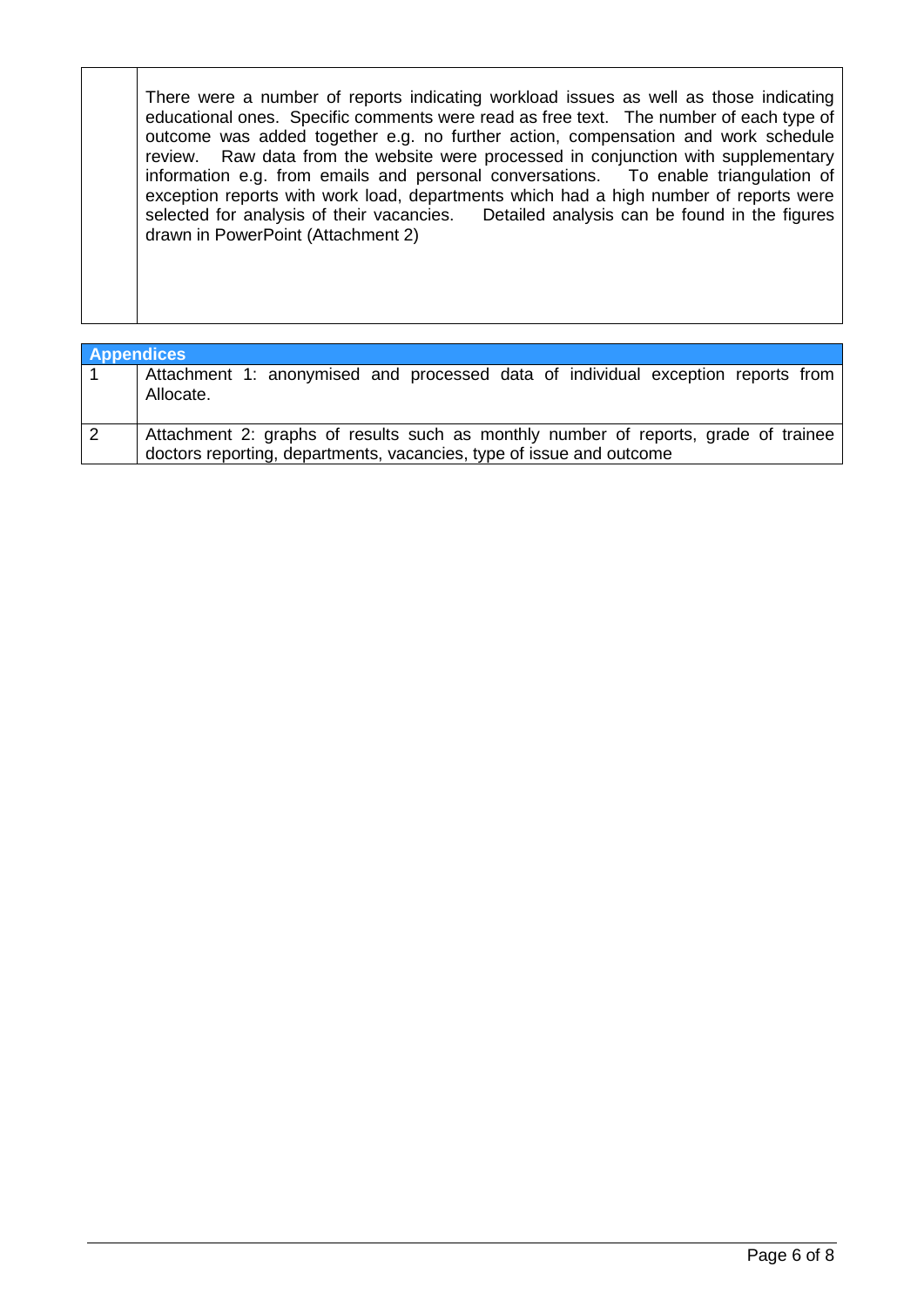There were a number of reports indicating workload issues as well as those indicating educational ones. Specific comments were read as free text. The number of each type of outcome was added together e.g. no further action, compensation and work schedule review. Raw data from the website were processed in conjunction with supplementary information e.g. from emails and personal conversations. To enable triangulation of information e.g. from emails and personal conversations. exception reports with work load, departments which had a high number of reports were selected for analysis of their vacancies. Detailed analysis can be found in the figures Detailed analysis can be found in the figures. drawn in PowerPoint (Attachment 2)

| <b>Appendices</b> |                                                                                                                                                             |
|-------------------|-------------------------------------------------------------------------------------------------------------------------------------------------------------|
|                   | Attachment 1: anonymised and processed data of individual exception reports from<br>Allocate.                                                               |
|                   | Attachment 2: graphs of results such as monthly number of reports, grade of trainee<br>doctors reporting, departments, vacancies, type of issue and outcome |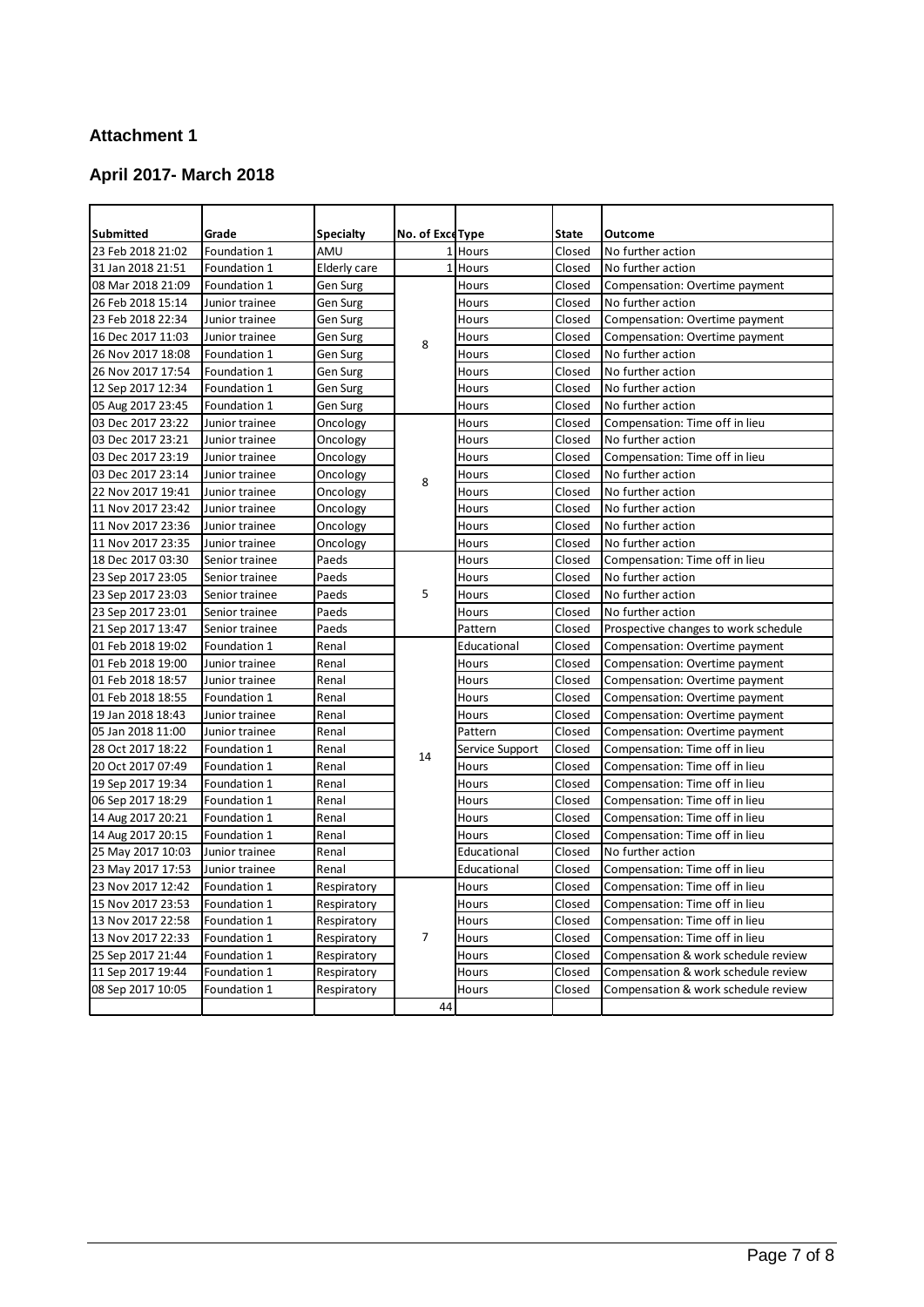#### **Attachment 1**

#### **April 2017- March 2018**

| <b>Submitted</b>  | Grade          | <b>Specialty</b> | No. of Exce Type |                 | <b>State</b> | Outcome                              |
|-------------------|----------------|------------------|------------------|-----------------|--------------|--------------------------------------|
| 23 Feb 2018 21:02 | Foundation 1   | AMU              |                  | 1 Hours         | Closed       | No further action                    |
| 31 Jan 2018 21:51 | Foundation 1   | Elderly care     |                  | 1 Hours         | Closed       | No further action                    |
| 08 Mar 2018 21:09 | Foundation 1   | Gen Surg         |                  | Hours           | Closed       | Compensation: Overtime payment       |
| 26 Feb 2018 15:14 | Junior trainee | Gen Surg         |                  | Hours           | Closed       | No further action                    |
| 23 Feb 2018 22:34 | Junior trainee | Gen Surg         |                  | Hours           | Closed       | Compensation: Overtime payment       |
| 16 Dec 2017 11:03 | Junior trainee | Gen Surg         | 8                | Hours           | Closed       | Compensation: Overtime payment       |
| 26 Nov 2017 18:08 | Foundation 1   | Gen Surg         |                  | Hours           | Closed       | No further action                    |
| 26 Nov 2017 17:54 | Foundation 1   | Gen Surg         |                  | Hours           | Closed       | No further action                    |
| 12 Sep 2017 12:34 | Foundation 1   | Gen Surg         |                  | Hours           | Closed       | No further action                    |
| 05 Aug 2017 23:45 | Foundation 1   | Gen Surg         |                  | Hours           | Closed       | No further action                    |
| 03 Dec 2017 23:22 | Junior trainee | Oncology         |                  | Hours           | Closed       | Compensation: Time off in lieu       |
| 03 Dec 2017 23:21 | Junior trainee | Oncology         |                  | Hours           | Closed       | No further action                    |
| 03 Dec 2017 23:19 | Junior trainee | Oncology         |                  | Hours           | Closed       | Compensation: Time off in lieu       |
| 03 Dec 2017 23:14 | Junior trainee | Oncology         | 8                | Hours           | Closed       | No further action                    |
| 22 Nov 2017 19:41 | Junior trainee | Oncology         |                  | Hours           | Closed       | No further action                    |
| 11 Nov 2017 23:42 | Junior trainee | Oncology         |                  | Hours           | Closed       | No further action                    |
| 11 Nov 2017 23:36 | Junior trainee | Oncology         |                  | Hours           | Closed       | No further action                    |
| 11 Nov 2017 23:35 | Junior trainee | Oncology         |                  | Hours           | Closed       | No further action                    |
| 18 Dec 2017 03:30 | Senior trainee | Paeds            |                  | Hours           | Closed       | Compensation: Time off in lieu       |
| 23 Sep 2017 23:05 | Senior trainee | Paeds            |                  | Hours           | Closed       | No further action                    |
| 23 Sep 2017 23:03 | Senior trainee | Paeds            | 5                | Hours           | Closed       | No further action                    |
| 23 Sep 2017 23:01 | Senior trainee | Paeds            |                  | Hours           | Closed       | No further action                    |
| 21 Sep 2017 13:47 | Senior trainee | Paeds            |                  | Pattern         | Closed       | Prospective changes to work schedule |
| 01 Feb 2018 19:02 | Foundation 1   | Renal            |                  | Educational     | Closed       | Compensation: Overtime payment       |
| 01 Feb 2018 19:00 | Junior trainee | Renal            |                  | Hours           | Closed       | Compensation: Overtime payment       |
| 01 Feb 2018 18:57 | Junior trainee | Renal            |                  | Hours           | Closed       | Compensation: Overtime payment       |
| 01 Feb 2018 18:55 | Foundation 1   | Renal            |                  | Hours           | Closed       | Compensation: Overtime payment       |
| 19 Jan 2018 18:43 | Junior trainee | Renal            |                  | Hours           | Closed       | Compensation: Overtime payment       |
| 05 Jan 2018 11:00 | Junior trainee | Renal            |                  | Pattern         | Closed       | Compensation: Overtime payment       |
| 28 Oct 2017 18:22 | Foundation 1   | Renal            | 14               | Service Support | Closed       | Compensation: Time off in lieu       |
| 20 Oct 2017 07:49 | Foundation 1   | Renal            |                  | Hours           | Closed       | Compensation: Time off in lieu       |
| 19 Sep 2017 19:34 | Foundation 1   | Renal            |                  | Hours           | Closed       | Compensation: Time off in lieu       |
| 06 Sep 2017 18:29 | Foundation 1   | Renal            |                  | Hours           | Closed       | Compensation: Time off in lieu       |
| 14 Aug 2017 20:21 | Foundation 1   | Renal            |                  | Hours           | Closed       | Compensation: Time off in lieu       |
| 14 Aug 2017 20:15 | Foundation 1   | Renal            |                  | Hours           | Closed       | Compensation: Time off in lieu       |
| 25 May 2017 10:03 | Junior trainee | Renal            |                  | Educational     | Closed       | No further action                    |
| 23 May 2017 17:53 | Junior trainee | Renal            |                  | Educational     | Closed       | Compensation: Time off in lieu       |
| 23 Nov 2017 12:42 | Foundation 1   | Respiratory      |                  | Hours           | Closed       | Compensation: Time off in lieu       |
| 15 Nov 2017 23:53 | Foundation 1   | Respiratory      |                  | Hours           | Closed       | Compensation: Time off in lieu       |
| 13 Nov 2017 22:58 | Foundation 1   | Respiratory      |                  | Hours           | Closed       | Compensation: Time off in lieu       |
| 13 Nov 2017 22:33 | Foundation 1   | Respiratory      | $\overline{7}$   | Hours           | Closed       | Compensation: Time off in lieu       |
| 25 Sep 2017 21:44 | Foundation 1   | Respiratory      |                  | Hours           | Closed       | Compensation & work schedule review  |
| 11 Sep 2017 19:44 | Foundation 1   | Respiratory      |                  | Hours           | Closed       | Compensation & work schedule review  |
| 08 Sep 2017 10:05 | Foundation 1   | Respiratory      |                  | Hours           | Closed       | Compensation & work schedule review  |
|                   |                |                  | 44               |                 |              |                                      |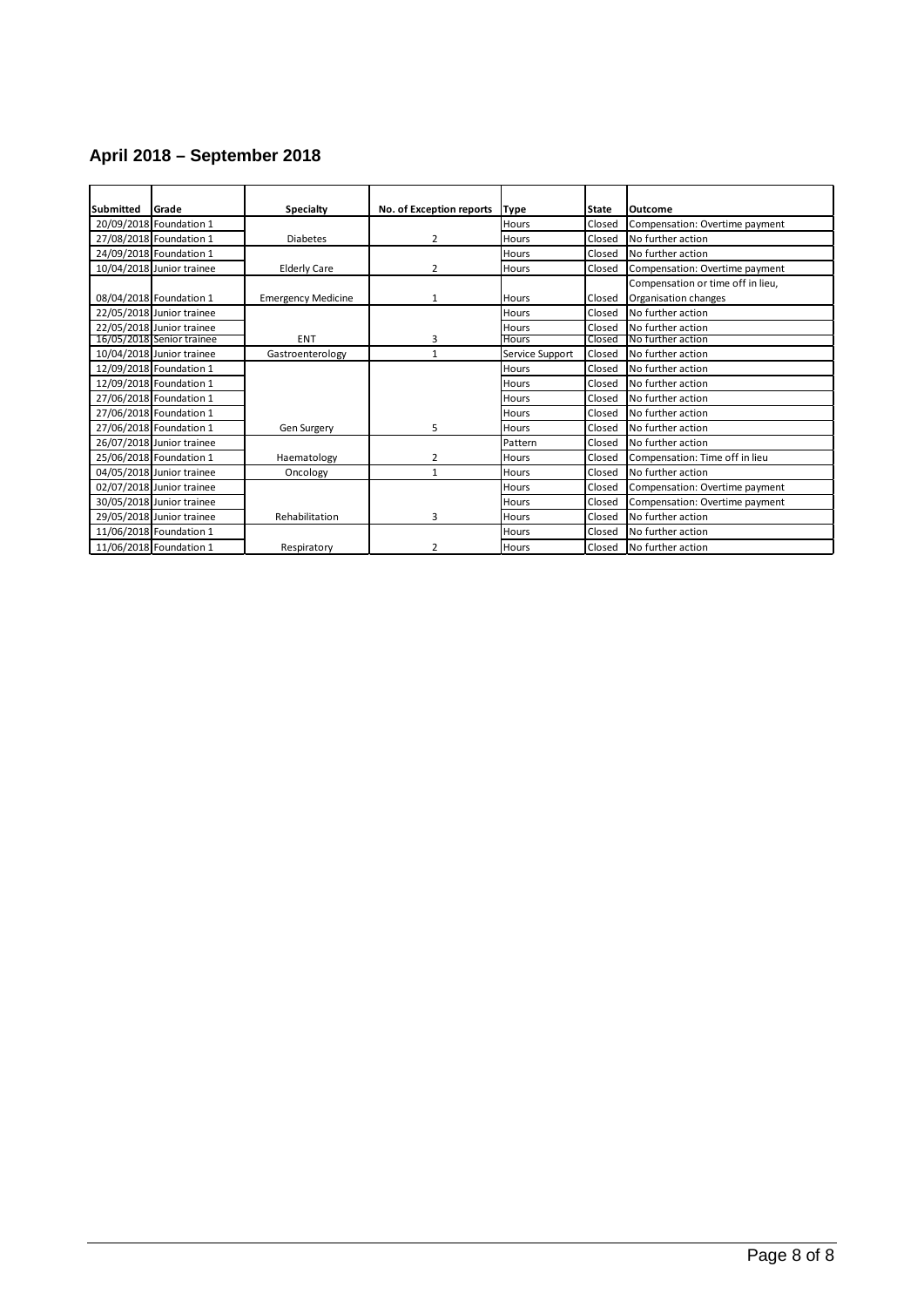#### **April 2018 – September 2018**

| <b>Submitted</b> | lGrade                    | <b>Specialty</b>          | No. of Exception reports | <b>Type</b>     | <b>State</b> | Outcome                           |
|------------------|---------------------------|---------------------------|--------------------------|-----------------|--------------|-----------------------------------|
|                  | 20/09/2018 Foundation 1   |                           |                          | Hours           | Closed       | Compensation: Overtime payment    |
|                  | 27/08/2018 Foundation 1   | <b>Diabetes</b>           | 2                        | Hours           | Closed       | No further action                 |
|                  | 24/09/2018 Foundation 1   |                           |                          | Hours           | Closed       | No further action                 |
|                  | 10/04/2018 Junior trainee | <b>Elderly Care</b>       | $\overline{2}$           | Hours           | Closed       | Compensation: Overtime payment    |
|                  |                           |                           |                          |                 |              | Compensation or time off in lieu, |
|                  | 08/04/2018 Foundation 1   | <b>Emergency Medicine</b> | 1                        | <b>Hours</b>    | Closed       | Organisation changes              |
|                  | 22/05/2018 Junior trainee |                           |                          | Hours           | Closed       | No further action                 |
|                  | 22/05/2018 Junior trainee |                           |                          | Hours           | Closed       | No further action                 |
|                  | 16/05/2018 Senior trainee | <b>ENT</b>                | 3                        | Hours           | Closed       | No further action                 |
|                  | 10/04/2018 Junior trainee | Gastroenterology          | $\mathbf{1}$             | Service Support | Closed       | No further action                 |
|                  | 12/09/2018 Foundation 1   |                           |                          | Hours           | Closed       | No further action                 |
|                  | 12/09/2018 Foundation 1   |                           |                          | Hours           | Closed       | No further action                 |
|                  | 27/06/2018 Foundation 1   |                           |                          | Hours           | Closed       | No further action                 |
|                  | 27/06/2018 Foundation 1   |                           |                          | Hours           | Closed       | No further action                 |
|                  | 27/06/2018 Foundation 1   | Gen Surgery               | 5                        | Hours           | Closed       | No further action                 |
|                  | 26/07/2018 Junior trainee |                           |                          | Pattern         | Closed       | No further action                 |
|                  | 25/06/2018 Foundation 1   | Haematology               | 2                        | Hours           | Closed       | Compensation: Time off in lieu    |
|                  | 04/05/2018 Junior trainee | Oncology                  | $\mathbf{1}$             | Hours           | Closed       | No further action                 |
|                  | 02/07/2018 Junior trainee |                           |                          | Hours           | Closed       | Compensation: Overtime payment    |
|                  | 30/05/2018 Junior trainee |                           |                          | Hours           | Closed       | Compensation: Overtime payment    |
|                  | 29/05/2018 Junior trainee | Rehabilitation            | 3                        | Hours           | Closed       | No further action                 |
|                  | 11/06/2018 Foundation 1   |                           |                          | Hours           | Closed       | No further action                 |
|                  | 11/06/2018 Foundation 1   | Respiratory               | 2                        | Hours           | Closed       | No further action                 |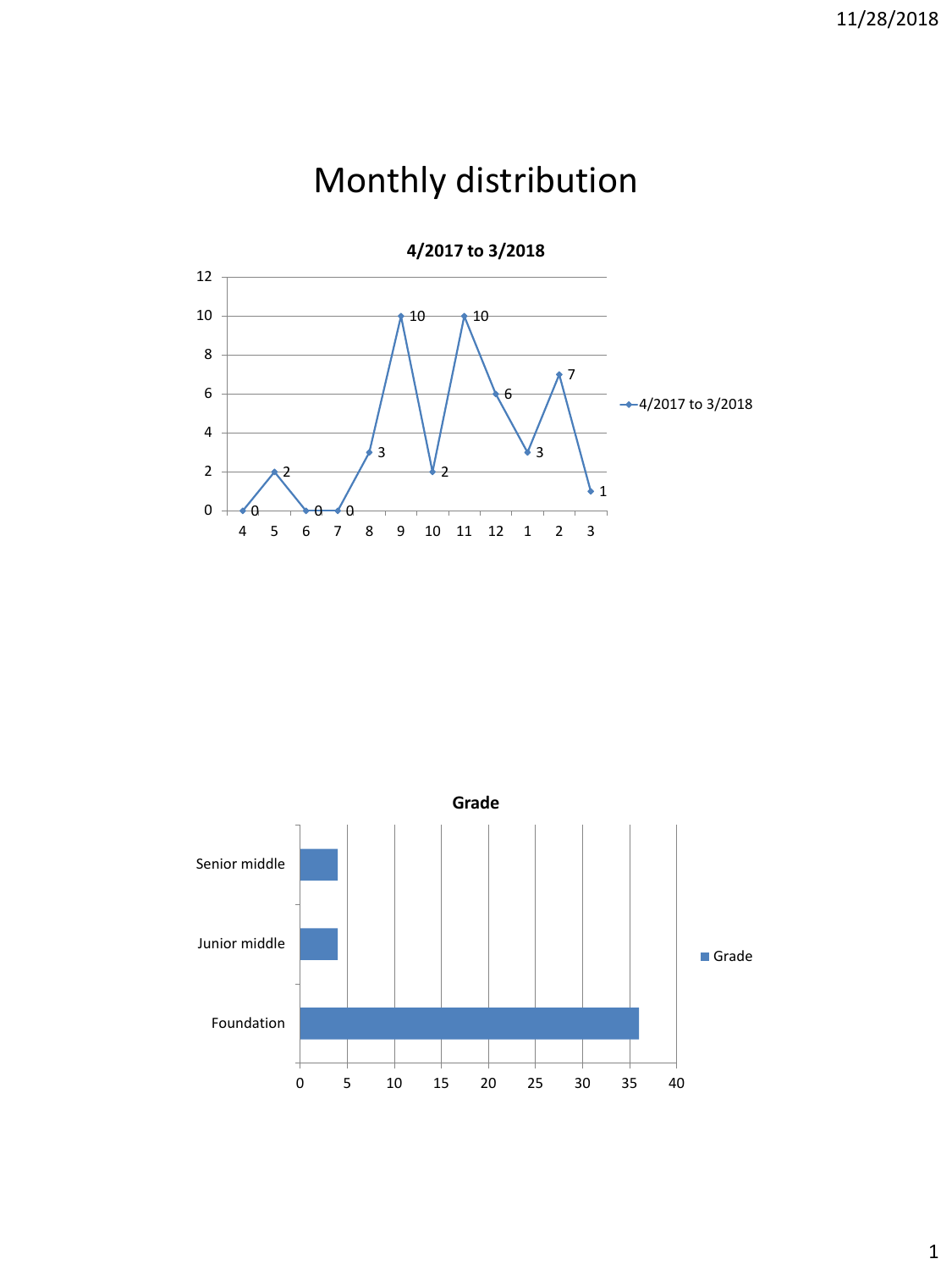## Monthly distribution

**4/2017 to 3/2018**



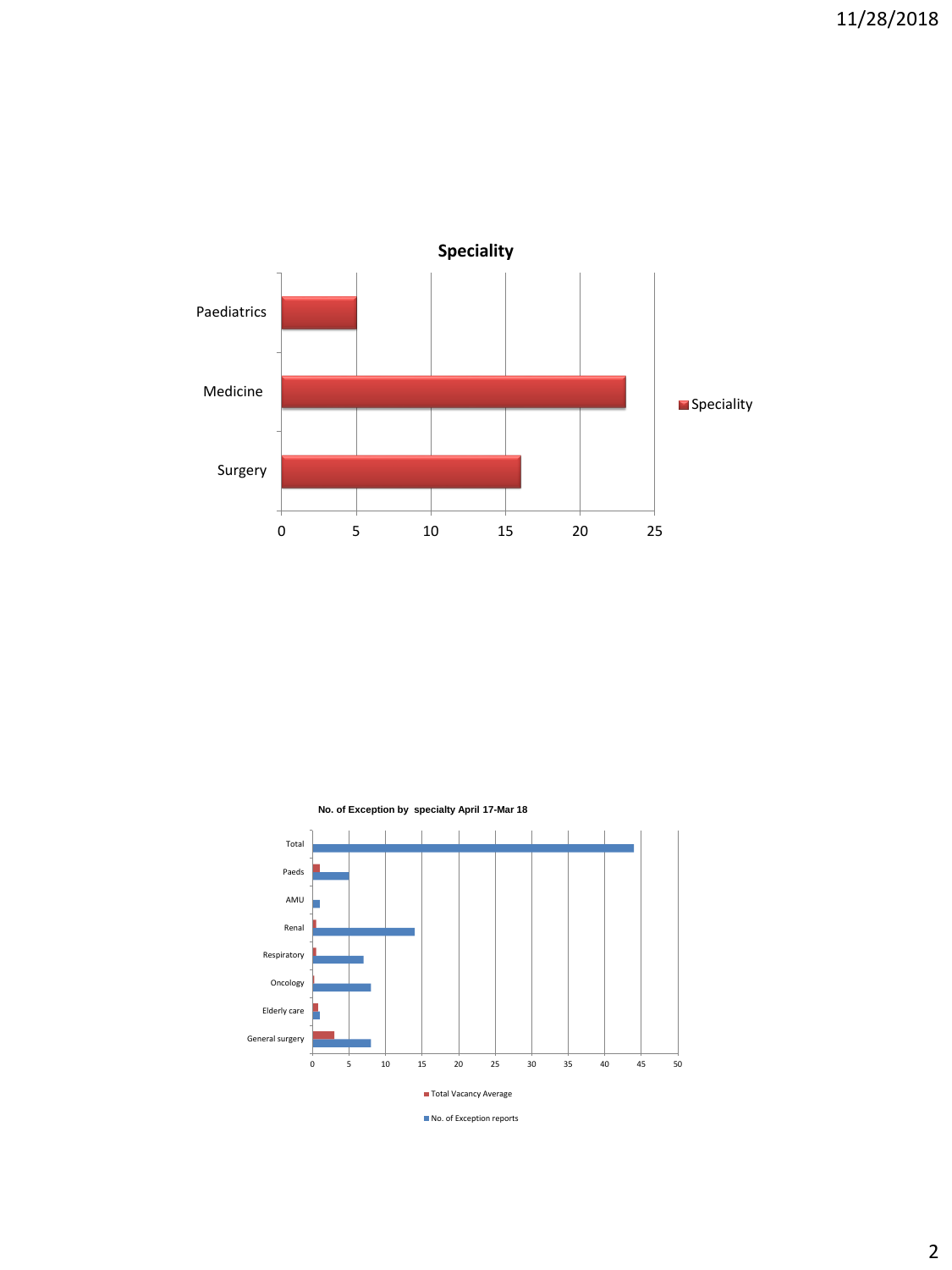



No. of Exception reports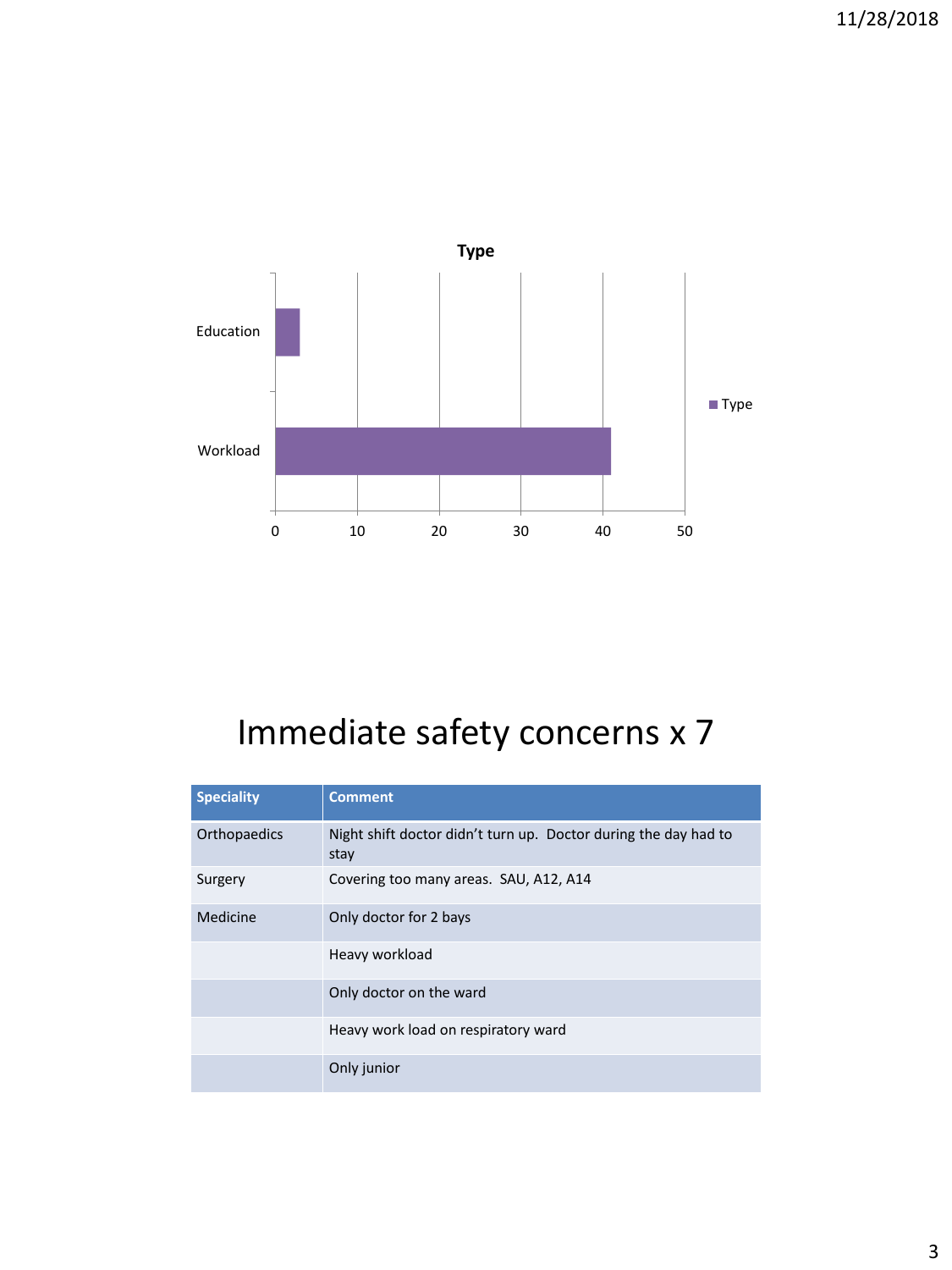

## Immediate safety concerns x 7

| <b>Speciality</b> | <b>Comment</b>                                                          |
|-------------------|-------------------------------------------------------------------------|
| Orthopaedics      | Night shift doctor didn't turn up. Doctor during the day had to<br>stay |
| Surgery           | Covering too many areas. SAU, A12, A14                                  |
| Medicine          | Only doctor for 2 bays                                                  |
|                   | Heavy workload                                                          |
|                   | Only doctor on the ward                                                 |
|                   | Heavy work load on respiratory ward                                     |
|                   | Only junior                                                             |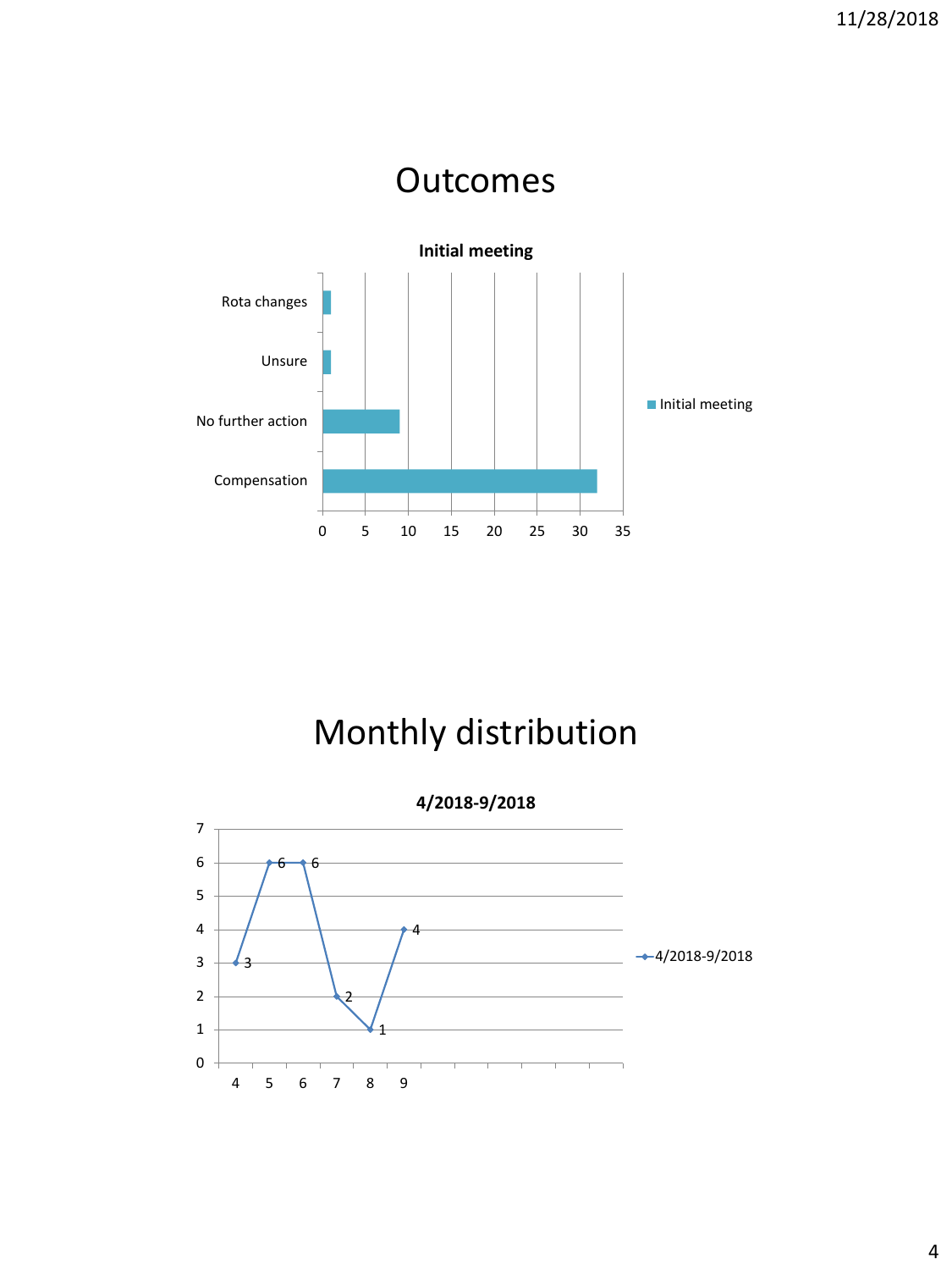

## Monthly distribution

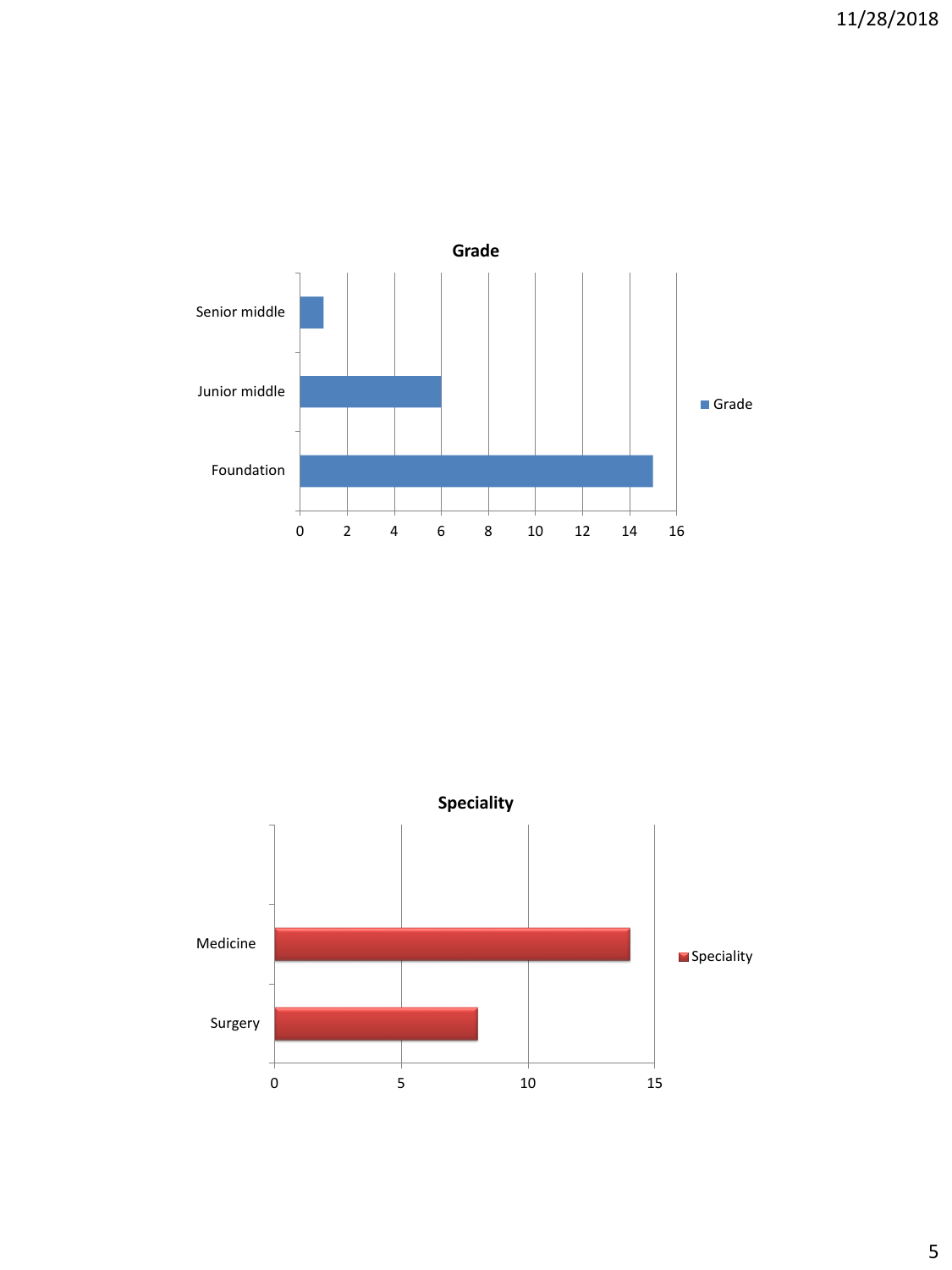

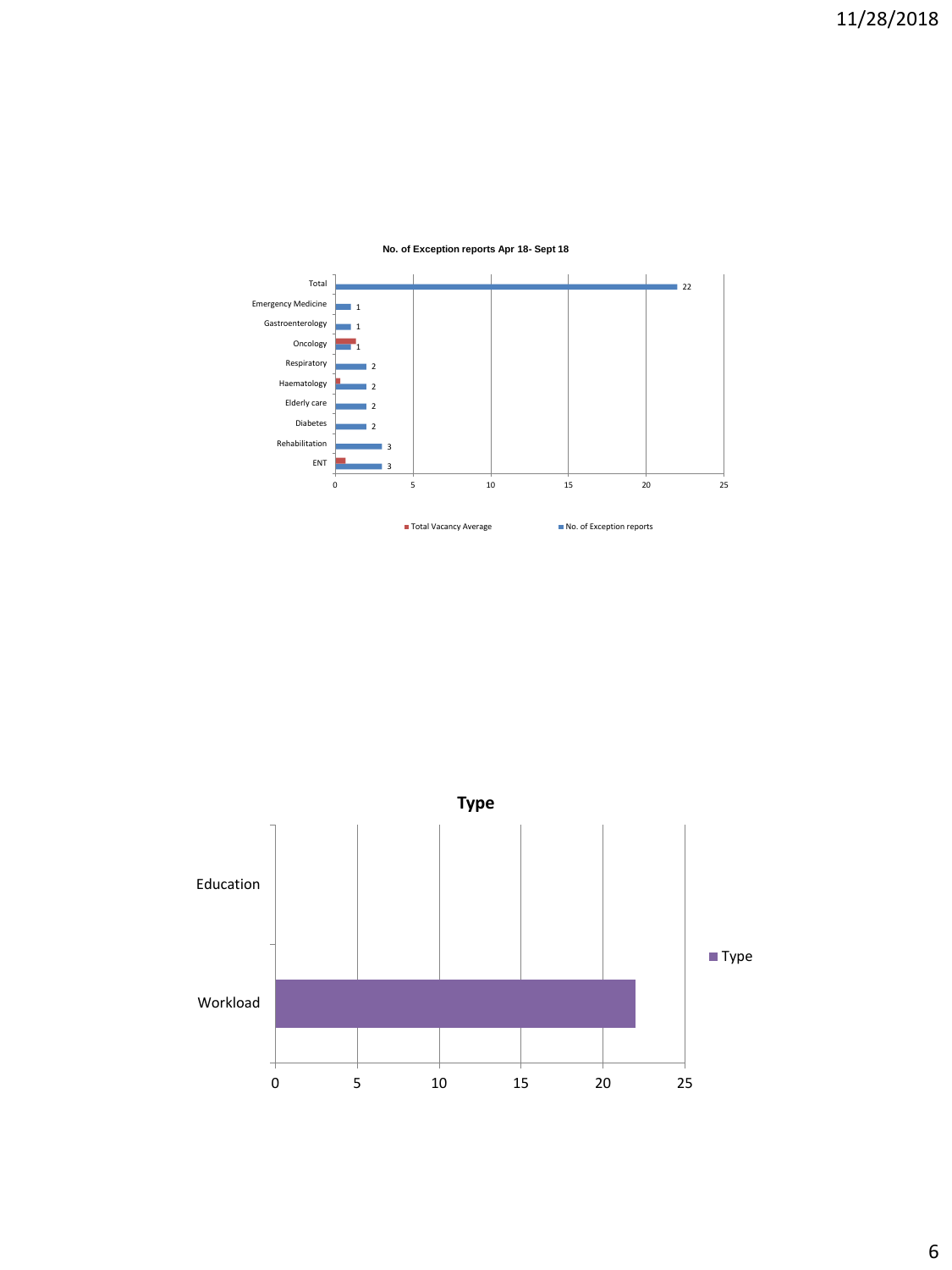

#### **No. of Exception reports Apr 18- Sept 18**